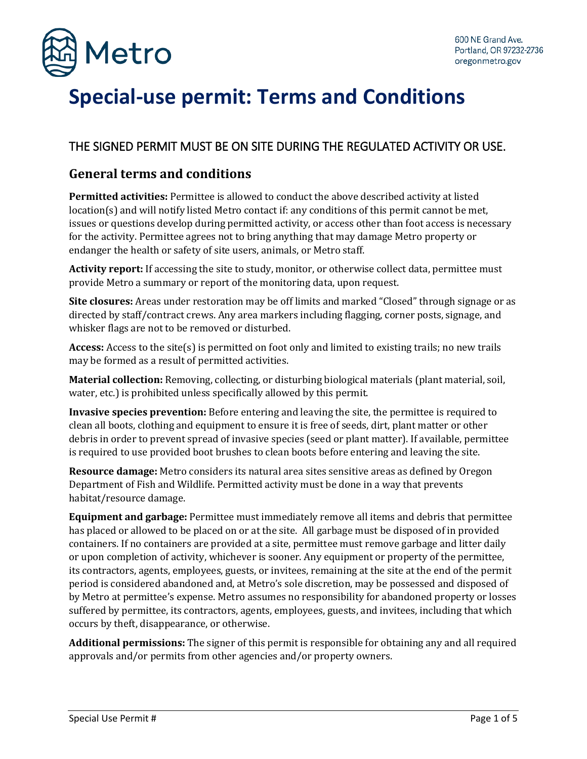

# **Special-use permit: Terms and Conditions**

### THE SIGNED PERMIT MUST BE ON SITE DURING THE REGULATED ACTIVITY OR USE.

#### **General terms and conditions**

**Permitted activities:** Permittee is allowed to conduct the above described activity at listed location(s) and will notify listed Metro contact if: any conditions of this permit cannot be met, issues or questions develop during permitted activity, or access other than foot access is necessary for the activity. Permittee agrees not to bring anything that may damage Metro property or endanger the health or safety of site users, animals, or Metro staff.

**Activity report:** If accessing the site to study, monitor, or otherwise collect data, permittee must provide Metro a summary or report of the monitoring data, upon request.

**Site closures:** Areas under restoration may be off limits and marked "Closed" through signage or as directed by staff/contract crews. Any area markers including flagging, corner posts, signage, and whisker flags are not to be removed or disturbed.

**Access:** Access to the site(s) is permitted on foot only and limited to existing trails; no new trails may be formed as a result of permitted activities.

**Material collection:** Removing, collecting, or disturbing biological materials (plant material, soil, water, etc.) is prohibited unless specifically allowed by this permit.

**Invasive species prevention:** Before entering and leaving the site, the permittee is required to clean all boots, clothing and equipment to ensure it is free of seeds, dirt, plant matter or other debris in order to prevent spread of invasive species (seed or plant matter). If available, permittee is required to use provided boot brushes to clean boots before entering and leaving the site.

**Resource damage:** Metro considers its natural area sites sensitive areas as defined by Oregon Department of Fish and Wildlife. Permitted activity must be done in a way that prevents habitat/resource damage.

**Equipment and garbage:** Permittee must immediately remove all items and debris that permittee has placed or allowed to be placed on or at the site. All garbage must be disposed of in provided containers. If no containers are provided at a site, permittee must remove garbage and litter daily or upon completion of activity, whichever is sooner. Any equipment or property of the permittee, its contractors, agents, employees, guests, or invitees, remaining at the site at the end of the permit period is considered abandoned and, at Metro's sole discretion, may be possessed and disposed of by Metro at permittee's expense. Metro assumes no responsibility for abandoned property or losses suffered by permittee, its contractors, agents, employees, guests, and invitees, including that which occurs by theft, disappearance, or otherwise.

**Additional permissions:** The signer of this permit is responsible for obtaining any and all required approvals and/or permits from other agencies and/or property owners.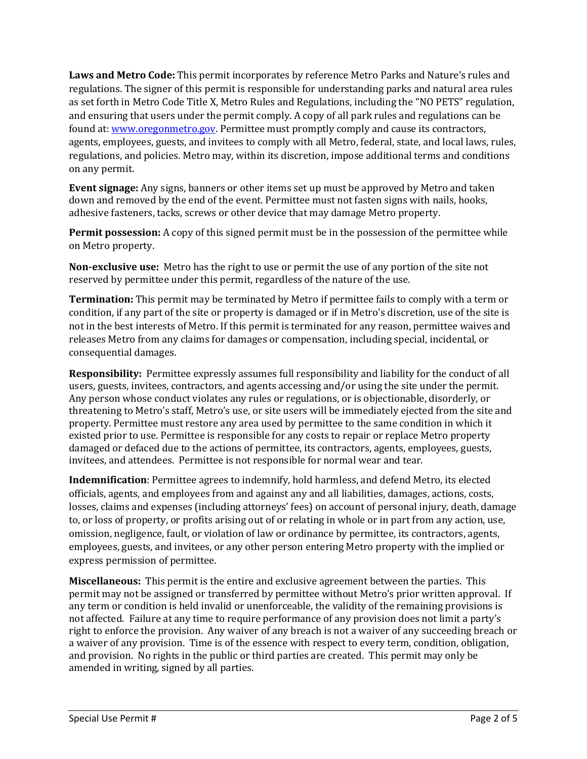**Laws and Metro Code:** This permit incorporates by reference Metro Parks and Nature's rules and regulations. The signer of this permit is responsible for understanding parks and natural area rules as set forth in Metro Code Title X, Metro Rules and Regulations, including the "NO PETS" regulation, and ensuring that users under the permit comply. A copy of all park rules and regulations can be found at[: www.oregonmetro.gov.](http://www.oregonmetro.gov/) Permittee must promptly comply and cause its contractors, agents, employees, guests, and invitees to comply with all Metro, federal, state, and local laws, rules, regulations, and policies. Metro may, within its discretion, impose additional terms and conditions on any permit.

**Event signage:** Any signs, banners or other items set up must be approved by Metro and taken down and removed by the end of the event. Permittee must not fasten signs with nails, hooks, adhesive fasteners, tacks, screws or other device that may damage Metro property.

**Permit possession:** A copy of this signed permit must be in the possession of the permittee while on Metro property.

**Non-exclusive use:** Metro has the right to use or permit the use of any portion of the site not reserved by permittee under this permit, regardless of the nature of the use.

**Termination:** This permit may be terminated by Metro if permittee fails to comply with a term or condition, if any part of the site or property is damaged or if in Metro's discretion, use of the site is not in the best interests of Metro. If this permit is terminated for any reason, permittee waives and releases Metro from any claims for damages or compensation, including special, incidental, or consequential damages.

**Responsibility:** Permittee expressly assumes full responsibility and liability for the conduct of all users, guests, invitees, contractors, and agents accessing and/or using the site under the permit. Any person whose conduct violates any rules or regulations, or is objectionable, disorderly, or threatening to Metro's staff, Metro's use, or site users will be immediately ejected from the site and property. Permittee must restore any area used by permittee to the same condition in which it existed prior to use. Permittee is responsible for any costs to repair or replace Metro property damaged or defaced due to the actions of permittee, its contractors, agents, employees, guests, invitees, and attendees. Permittee is not responsible for normal wear and tear.

**Indemnification**: Permittee agrees to indemnify, hold harmless, and defend Metro, its elected officials, agents, and employees from and against any and all liabilities, damages, actions, costs, losses, claims and expenses (including attorneys' fees) on account of personal injury, death, damage to, or loss of property, or profits arising out of or relating in whole or in part from any action, use, omission, negligence, fault, or violation of law or ordinance by permittee, its contractors, agents, employees, guests, and invitees, or any other person entering Metro property with the implied or express permission of permittee.

**Miscellaneous:** This permit is the entire and exclusive agreement between the parties. This permit may not be assigned or transferred by permittee without Metro's prior written approval. If any term or condition is held invalid or unenforceable, the validity of the remaining provisions is not affected. Failure at any time to require performance of any provision does not limit a party's right to enforce the provision. Any waiver of any breach is not a waiver of any succeeding breach or a waiver of any provision. Time is of the essence with respect to every term, condition, obligation, and provision. No rights in the public or third parties are created. This permit may only be amended in writing, signed by all parties.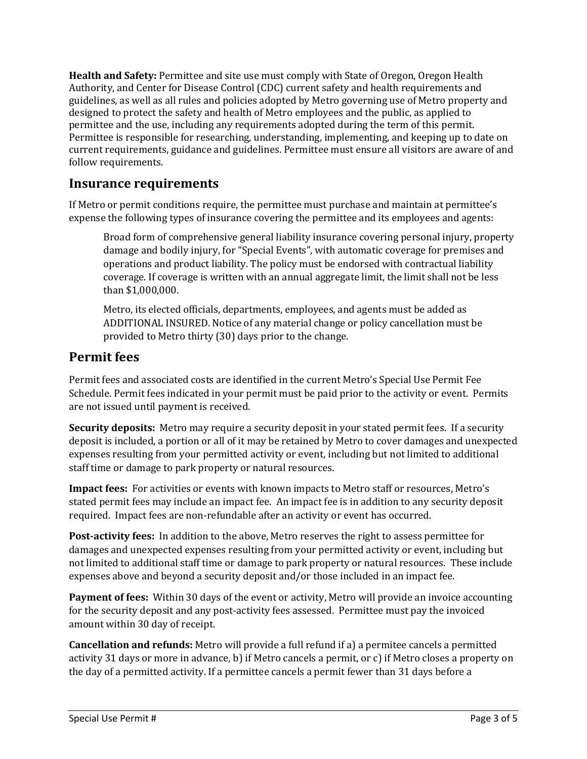**Health and Safety:** Permittee and site use must comply with State of Oregon, Oregon Health Authority, and Center for Disease Control (CDC) current safety and health requirements and guidelines, as well as all rules and policies adopted by Metro governing use of Metro property and designed to protect the safety and health of Metro employees and the public, as applied to permittee and the use, including any requirements adopted during the term of this permit. Permittee is responsible for researching, understanding, implementing, and keeping up to date on current requirements, guidance and guidelines. Permittee must ensure all visitors are aware of and follow requirements.

#### **Insurance requirements**

If Metro or permit conditions require, the permittee must purchase and maintain at permittee's expense the following types of insurance covering the permittee and its employees and agents:

Broad form of comprehensive general liability insurance covering personal injury, property damage and bodily injury, for "Special Events", with automatic coverage for premises and operations and product liability. The policy must be endorsed with contractual liability coverage. If coverage is written with an annual aggregate limit, the limit shall not be less than \$1,000,000.

Metro, its elected officials, departments, employees, and agents must be added as ADDITIONAL INSURED. Notice of any material change or policy cancellation must be provided to Metro thirty (30) days prior to the change.

#### **Permit fees**

Permit fees and associated costs are identified in the current Metro's Special Use Permit Fee Schedule. Permit fees indicated in your permit must be paid prior to the activity or event. Permits are not issued until payment is received.

**Security deposits:** Metro may require a security deposit in your stated permit fees. If a security deposit is included, a portion or all of it may be retained by Metro to cover damages and unexpected expenses resulting from your permitted activity or event, including but not limited to additional staff time or damage to park property or natural resources.

**Impact fees:** For activities or events with known impacts to Metro staff or resources, Metro's stated permit fees may include an impact fee. An impact fee is in addition to any security deposit required. Impact fees are non-refundable after an activity or event has occurred.

**Post-activity fees:** In addition to the above, Metro reserves the right to assess permittee for damages and unexpected expenses resulting from your permitted activity or event, including but not limited to additional staff time or damage to park property or natural resources. These include expenses above and beyond a security deposit and/or those included in an impact fee.

**Payment of fees:** Within 30 days of the event or activity, Metro will provide an invoice accounting for the security deposit and any post-activity fees assessed. Permittee must pay the invoiced amount within 30 day of receipt.

**Cancellation and refunds:** Metro will provide a full refund if a) a permitee cancels a permitted activity 31 days or more in advance, b) if Metro cancels a permit, or c) if Metro closes a property on the day of a permitted activity. If a permittee cancels a permit fewer than 31 days before a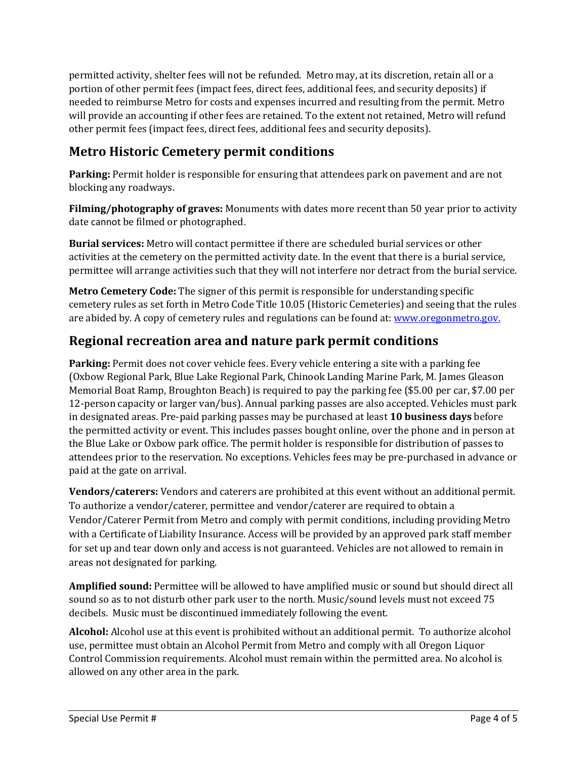permitted activity, shelter fees will not be refunded. Metro may, at its discretion, retain all or a portion of other permit fees (impact fees, direct fees, additional fees, and security deposits) if needed to reimburse Metro for costs and expenses incurred and resulting from the permit. Metro will provide an accounting if other fees are retained. To the extent not retained, Metro will refund other permit fees (impact fees, direct fees, additional fees and security deposits).

## **Metro Historic Cemetery permit conditions**

**Parking:** Permit holder is responsible for ensuring that attendees park on pavement and are not blocking any roadways.

**Filming/photography of graves:** Monuments with dates more recent than 50 year prior to activity date cannot be filmed or photographed.

**Burial services:** Metro will contact permittee if there are scheduled burial services or other activities at the cemetery on the permitted activity date. In the event that there is a burial service, permittee will arrange activities such that they will not interfere nor detract from the burial service.

**Metro Cemetery Code:** The signer of this permit is responsible for understanding specific cemetery rules as set forth in Metro Code Title 10.05 (Historic Cemeteries) and seeing that the rules are abided by. A copy of cemetery rules and regulations can be found at: [www.oregonmetro.gov.](http://www.oregonmetro.gov/)

## **Regional recreation area and nature park permit conditions**

**Parking:** Permit does not cover vehicle fees. Every vehicle entering a site with a parking fee (Oxbow Regional Park, Blue Lake Regional Park, Chinook Landing Marine Park, M. James Gleason Memorial Boat Ramp, Broughton Beach) is required to pay the parking fee (\$5.00 per car, \$7.00 per 12-person capacity or larger van/bus). Annual parking passes are also accepted. Vehicles must park in designated areas. Pre-paid parking passes may be purchased at least **10 business days** before the permitted activity or event. This includes passes bought online, over the phone and in person at the Blue Lake or Oxbow park office. The permit holder is responsible for distribution of passes to attendees prior to the reservation. No exceptions. Vehicles fees may be pre-purchased in advance or paid at the gate on arrival.

**Vendors/caterers:** Vendors and caterers are prohibited at this event without an additional permit. To authorize a vendor/caterer, permittee and vendor/caterer are required to obtain a Vendor/Caterer Permit from Metro and comply with permit conditions, including providing Metro with a Certificate of Liability Insurance. Access will be provided by an approved park staff member for set up and tear down only and access is not guaranteed. Vehicles are not allowed to remain in areas not designated for parking.

**Amplified sound:** Permittee will be allowed to have amplified music or sound but should direct all sound so as to not disturb other park user to the north. Music/sound levels must not exceed 75 decibels. Music must be discontinued immediately following the event.

**Alcohol:** Alcohol use at this event is prohibited without an additional permit. To authorize alcohol use, permittee must obtain an Alcohol Permit from Metro and comply with all Oregon Liquor Control Commission requirements. Alcohol must remain within the permitted area. No alcohol is allowed on any other area in the park.